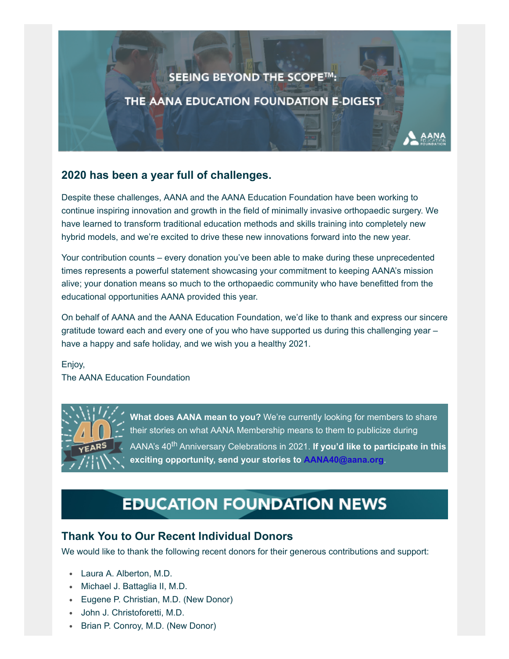# SEEING BEYOND THE SCOPE™: THE AANA EDUCATION FOUNDATION E-DIGEST

#### **2020 has been a year full of challenges.**

Despite these challenges, AANA and the AANA Education Foundation have been working to continue inspiring innovation and growth in the field of minimally invasive orthopaedic surgery. We have learned to transform traditional education methods and skills training into completely new hybrid models, and we're excited to drive these new innovations forward into the new year.

Your contribution counts – every donation you've been able to make during these unprecedented times represents a powerful statement showcasing your commitment to keeping AANA's mission alive; your donation means so much to the orthopaedic community who have benefitted from the educational opportunities AANA provided this year.

On behalf of AANA and the AANA Education Foundation, we'd like to thank and express our sincere gratitude toward each and every one of you who have supported us during this challenging year – have a happy and safe holiday, and we wish you a healthy 2021.

Enjoy, The AANA Education Foundation



**What does AANA mean to you?** We're currently looking for members to share their stories on what AANA Membership means to them to publicize during AANA's 40th Anniversary Celebrations in 2021. **If you'd like to participate in this exciting opportunity, send your stories to [AANA40@aana.org](mailto:AANA40@aana.org?subject=AANA%20Member%20Testimonial)**.

## **EDUCATION FOUNDATION NEWS**

#### **Thank You to Our Recent Individual Donors**

We would like to thank the following recent donors for their generous contributions and support:

- Laura A. Alberton, M.D.
- Michael J. Battaglia II, M.D.
- Eugene P. Christian, M.D. (New Donor)
- John J. Christoforetti, M.D.
- Brian P. Conroy, M.D. (New Donor)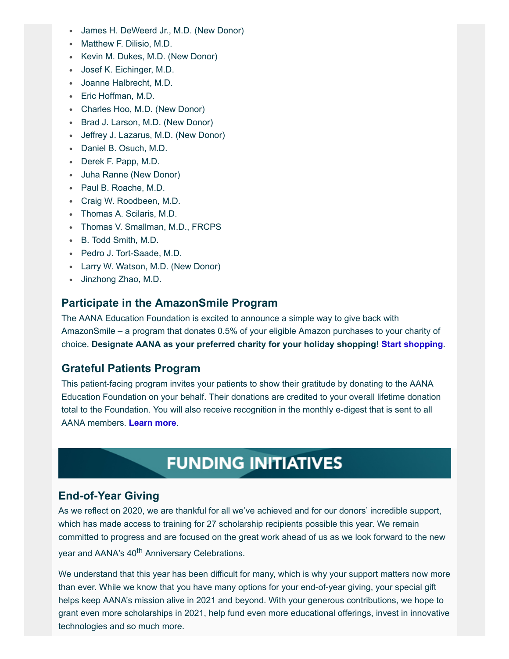- James H. DeWeerd Jr., M.D. (New Donor)
- **Matthew F. Dilisio, M.D.**
- Kevin M. Dukes, M.D. (New Donor)
- Josef K. Eichinger, M.D.
- Joanne Halbrecht, M.D.
- Eric Hoffman, M.D.
- Charles Hoo, M.D. (New Donor)
- Brad J. Larson, M.D. (New Donor)
- Jeffrey J. Lazarus, M.D. (New Donor)
- Daniel B. Osuch, M.D.
- Derek F. Papp, M.D.
- Juha Ranne (New Donor)
- Paul B. Roache, M.D.
- Craig W. Roodbeen, M.D.
- Thomas A. Scilaris, M.D.
- Thomas V. Smallman, M.D., FRCPS
- B. Todd Smith, M.D.
- Pedro J. Tort-Saade, M.D.
- Larry W. Watson, M.D. (New Donor)
- Jinzhong Zhao, M.D.

#### **Participate in the AmazonSmile Program**

The AANA Education Foundation is excited to announce a simple way to give back with AmazonSmile – a program that donates 0.5% of your eligible Amazon purchases to your charity of choice. **Designate AANA as your preferred charity for your holiday shopping! [Start shopping](https://smile.amazon.com/gp/chpf/homepage/ref=smi_chpf_redirect?ie=UTF8&ein=36-3166049&ref_=smi_ext_ch_36-3166049_cl)**.

#### **Grateful Patients Program**

This patient-facing program invites your patients to show their gratitude by donating to the AANA Education Foundation on your behalf. Their donations are credited to your overall lifetime donation total to the Foundation. You will also receive recognition in the monthly e-digest that is sent to all AANA members. **[Learn more](https://www.aana.org/aanaimis/Members/For-Patients/grateful-patients-program.aspx?WebsiteKey=10f6eed0-bcab-4019-8f57-18dad8aaf2d7&utm_source=aana&utm_medium=vanity&utm_campaign=grateful)**.

### **FUNDING INITIATIVES**

#### **End-of-Year Giving**

As we reflect on 2020, we are thankful for all we've achieved and for our donors' incredible support, which has made access to training for 27 scholarship recipients possible this year. We remain committed to progress and are focused on the great work ahead of us as we look forward to the new year and AANA's 40<sup>th</sup> Anniversary Celebrations.

We understand that this year has been difficult for many, which is why your support matters now more than ever. While we know that you have many options for your end-of-year giving, your special gift helps keep AANA's mission alive in 2021 and beyond. With your generous contributions, we hope to grant even more scholarships in 2021, help fund even more educational offerings, invest in innovative technologies and so much more.